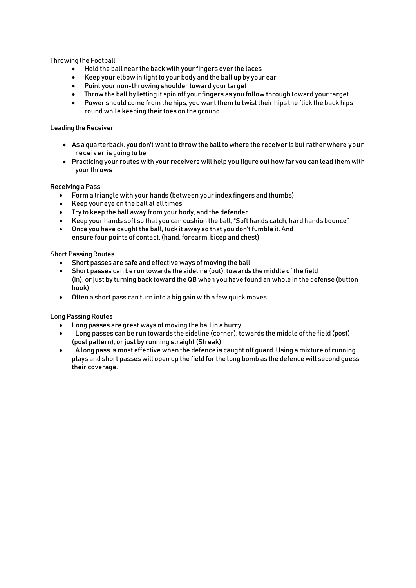Throwing the Football

- Hold the ball near the back with your fingers over the laces
- Keep your elbow in tight to your body and the ball up by your ear
- Point your non-throwing shoulder toward your target
- Throw the ball by letting it spin off your fingers as you follow through toward your target
- Power should come from the hips, you want them to twist their hips the flick the back hips round while keeping their toes on the ground.

### Leading the Receiver

- As a quarterback, you don't want to throw the ball to where the receiver is but rather where your receiver is going to be
- Practicing your routes with your receivers will help you figure out how far you can lead them with your throws

### Receiving a Pass

- Form a triangle with your hands (between your index fingers and thumbs)
- Keep your eye on the ball at all times
- Try to keep the ball away from your body, and the defender
- Keep your hands soft so that you can cushion the ball, "Soft hands catch, hard hands bounce"
- Once you have caught the ball, tuck it away so that you don't fumble it. And ensure four points of contact. (hand, forearm, bicep and chest)

### **Short Passing Routes**

- Short passes are safe and effective ways of moving the ball
- Short passes can be run towards the sideline (out), towards the middle of the field (in), or just by turning back toward the QB when you have found an whole in the defense (button hook)
- Often a short pass can turn into a big gain with a few quick moves

## Long Passing Routes

- Long passes are great ways of moving the ball in a hurry
- Long passes can be run towards the sideline (corner), towards the middle of the field (post) (post pattern), or just by running straight (Streak)
- A long pass is most effective when the defence is caught off guard. Using a mixture of running plays and short passes will open up the field for the long bomb as the defence will second guess their coverage.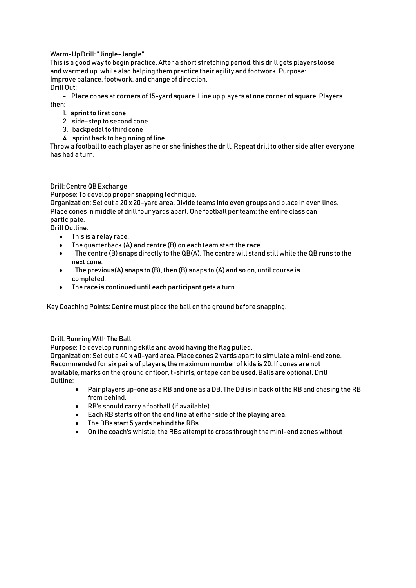# Warm-Up Drill: "Jingle-Jangle"

This is a good way to begin practice. After a short stretching period, this drill gets players loose and warmed up, while also helping them practice their agility and footwork. Purpose: Improve balance, footwork, and change of direction. Drill Out:

- Place cones at corners of 15-yard square. Line up players at one corner of square. Players then:

- 1. sprint to first cone
- 2. side-step to second cone
- 3. backpedal to third cone
- 4. sprint back to beginning of line.

Throw a football to each player as he or she finishes the drill. Repeat drill to other side after everyone has had a turn.

## Drill: Centre QBExchange

Purpose: To develop proper snapping technique.

Organization: Set out a 20 x 20-yard area. Divide teams into even groups and place in even lines. Place cones in middle of drill four yards apart. One football per team; the entire class can participate. Drill Outline:

- This is a relay race.
- The quarterback (A) and centre (B) on each team start the race.
- The centre (B) snaps directly to the QB(A). The centre will stand still while the QB runs to the next cone.
- The previous(A) snaps to (B), then (B) snaps to (A) and so on, until course is completed.
- The race is continued until each participant gets a turn.

Key Coaching Points: Centre must place the ball on the ground before snapping.

#### Drill: Running With The Ball

Purpose: To develop running skills and avoid having the flag pulled.

Organization: Set out a 40 x 40-yard area. Place cones 2 yards apart to simulate a mini-end zone. Recommended for six pairs of players, the maximum number of kids is 20. If cones are not available, marks on the ground or floor, t-shirts, or tape can be used. Balls are optional. Drill Outline:

- Pair players up-one as a RB and one as a DB. The DB is in back of the RB and chasing the RB from behind.
- RB's should carry a football (if available).
- Each RB starts off on the end line at either side of the playing area.
- The DBs start 5 yards behind the RBs.
- On the coach's whistle, the RBs attempt to cross through the mini-end zones without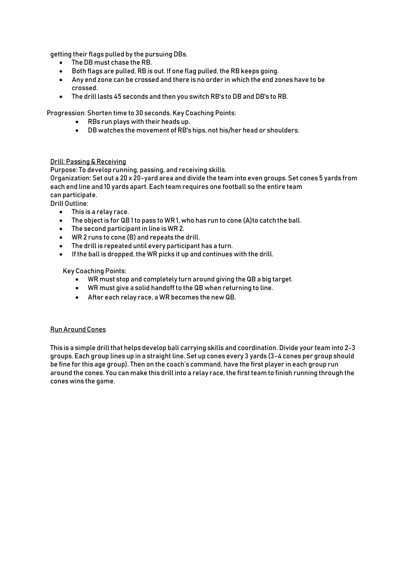getting their flags pulled by the pursuing DBs.

- The DB must chase the RB.
- Both flags are pulled, RB is out. If one flag pulled, the RB keeps going.
- Any end zone can be crossed and there is no order in which the end zones have to be crossed.
- The drill lasts 45 seconds and then you switch RB's to DB and DB's to RB.

Progression: Shorten time to 30 seconds. Key Coaching Points:

- RBs run plays with their heads up.
- DB watches the movement of RB's hips, not his/her head or shoulders.

### Drill: Passing & Receiving

Purpose: To develop running, passing, and receiving skills.

Organization: Set out a 20 x 20-yard area and divide the team into even groups. Set cones 5 yards from each end line and 10 yards apart. Each team requires one football so the entire team can participate.

Drill Outline:

- This is a relay race.
- The object is for QB 1 to pass to WR1, who has run to cone (A)to catch the ball.
- The second participant in line is WR 2.
- WR 2 runs to cone (B) and repeats the drill.
- The drill is repeated until every participant has a turn.
- If the ball is dropped, the WR picks it up and continues with the drill.

Key Coaching Points:

- WR must stop and completely turn around giving the QB a big target.
- WR must give a solid handoff to the QB when returning to line.
- After each relay race, a WR becomes the new QB.

#### RunAroundCones

This is a simple drill that helps develop ball carrying skills and coordination. Divide your team into 2-3 groups. Each group lines up in a straight line. Set up cones every 3 yards (3-4 cones per group should be fine for this age group). Then on the coach's command, have the first player in each group run around the cones. You can make this drill into a relay race, the first team to finish running through the cones wins the game.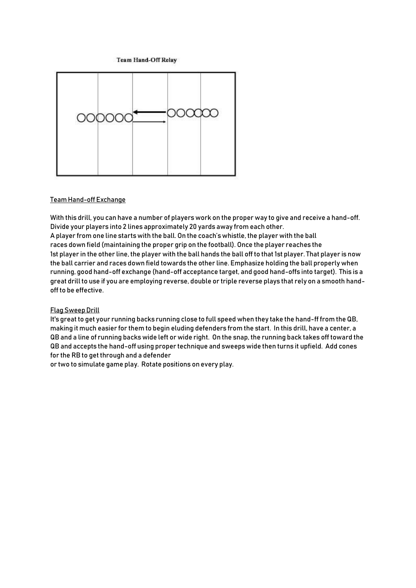**Team Hand-Off Relay** 



#### Team Hand-off Exchange

With this drill, you can have a number of players work on the proper way to give and receive a hand-off. Divide your players into 2 lines approximately 20 yards away from each other.

A player from one line starts with the ball. On the coach's whistle, the player with the ball races down field (maintaining the proper grip on the football). Once the player reaches the 1st player in the other line, the player with the ball hands the ball off to that 1st player. That player is now the ball carrier and races down field towards the other line. Emphasize holding the ball properly when running, good hand-off exchange (hand-off acceptance target, and good hand-offs into target). This is a great drill to use if you are employing reverse, double or triple reverse plays that rely on a smooth handoff to be effective.

## **Flag Sweep Drill**

It's great to get your running backs running close to full speed when they take the hand-ff from the QB, making it much easier for them to begin eluding defenders from the start. In this drill, have a center, a QB and a line of running backs wide left or wide right. On the snap, the running back takes off toward the QB and accepts the hand-off using proper technique and sweeps wide then turns it upfield. Add cones for the RB to get through and a defender

or two to simulate game play. Rotate positions on every play.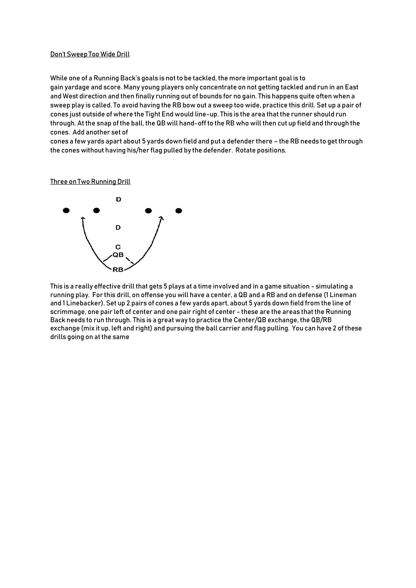### Don't Sweep Too Wide Drill

While one of a Running Back's goals is not to be tackled, the more important goal is to gain yardage and score. Many young players only concentrate on not getting tackled and run in an East and West direction and then finally running out of bounds for no gain. This happens quite often when a sweep play is called. To avoid having the RB bow out a sweep too wide, practice this drill. Set up a pair of cones just outside of where the Tight End would line-up. This is the area that the runner should run through. At the snap ofthe ball, the QB will hand-off to the RB who will then cut up field and through the cones. Add another set of

cones a few yards apart about 5 yards down field and put a defender there – the RB needs to get through the cones without having his/her flag pulled by the defender. Rotate positions.

Three on Two Running Drill



This is a really effective drill that gets 5 plays at a time involved and in a game situation - simulating a running play. For this drill, on offense you will have a center, a QB and a RB and on defense (1 Lineman and 1 Linebacker). Set up 2 pairs of cones a few yards apart, about 5 yards down field from the line of scrimmage, one pair left of center and one pair right of center - these are the areas that the Running Back needs to run through. This is a great way to practice the Center/QB exchange, the QB/RB exchange (mix it up, left and right) and pursuing the ball carrier and flag pulling. You can have 2 of these drills going on at the same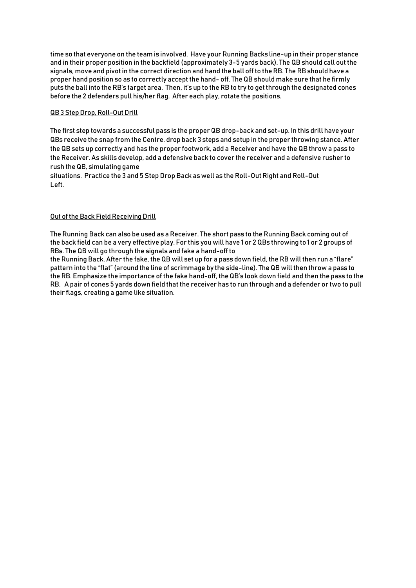time so that everyone on the team is involved. Have your Running Backs line-up in their proper stance and in their proper position in the backfield (approximately 3-5 yards back). The QB should call outthe signals, move and pivotin the correct direction and hand the ball off to theRB. The RB should have a proper hand position so as to correctly accept the hand- off. The QB should make sure that he firmly puts the ball into the RB's target area. Then, it's up to the RB to try to getthrough the designated cones before the 2 defenders pull his/her flag. After each play, rotate the positions.

## QB3 Step Drop, Roll-Out Drill

The first step towards a successful pass is the proper QB drop-back and set-up. In this drill have your QBs receive the snap from the Centre, drop back 3 steps and setup in the proper throwing stance. After the QB sets up correctly and has the proper footwork, add a Receiver and have the QB throw a pass to the Receiver. As skills develop, add a defensive back to cover the receiver and a defensive rusher to rush the QB, simulating game

situations. Practice the 3 and 5 Step Drop Back as well as the Roll-Out Right and Roll-Out Left.

# Out of the Back Field Receiving Drill

The Running Back can also be used as a Receiver. The short pass to the Running Back coming out of the back field can be a very effective play. For this you will have 1 or 2 QBs throwing to 1 or 2 groups of RBs. The QB will go through the signals and fake a hand-off to

the Running Back. After the fake, the QB will set up for a pass down field, the RB will then run a "flare" pattern into the "flat" (around the line of scrimmage by the side-line). The QB will then throw a pass to the RB. Emphasize the importance of the fake hand-off, the QB's look down field and then the pass to the RB. Apair of cones 5 yards down field that the receiver has to run through and a defender or two to pull their flags, creating a game like situation.